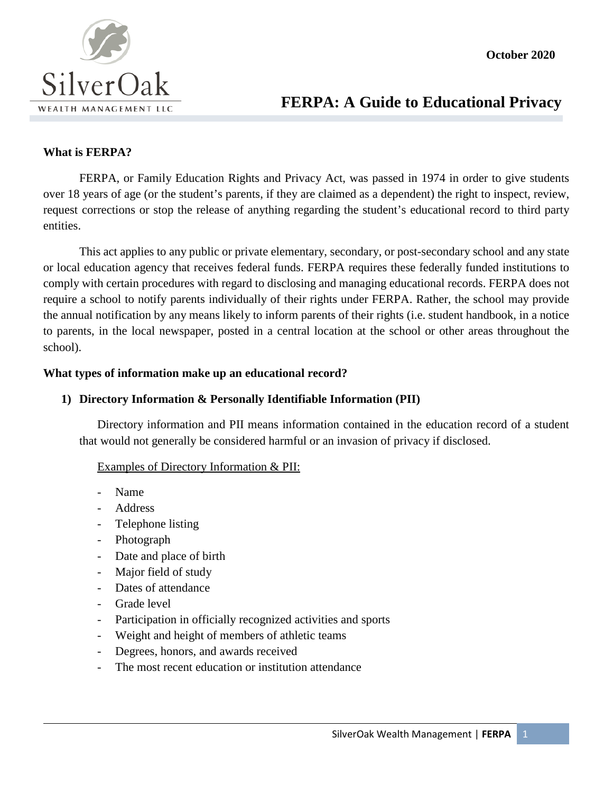

# **FERPA: A Guide to Educational Privacy**

### **What is FERPA?**

FERPA, or Family Education Rights and Privacy Act, was passed in 1974 in order to give students over 18 years of age (or the student's parents, if they are claimed as a dependent) the right to inspect, review, request corrections or stop the release of anything regarding the student's educational record to third party entities.

This act applies to any public or private elementary, secondary, or post-secondary school and any state or local education agency that receives federal funds. FERPA requires these federally funded institutions to comply with certain procedures with regard to disclosing and managing educational records. FERPA does not require a school to notify parents individually of their rights under FERPA. Rather, the school may provide the annual notification by any means likely to inform parents of their rights (i.e. student handbook, in a notice to parents, in the local newspaper, posted in a central location at the school or other areas throughout the school).

#### **What types of information make up an educational record?**

#### **1) Directory Information & Personally Identifiable Information (PII)**

Directory information and PII means information contained in the education record of a student that would not generally be considered harmful or an invasion of privacy if disclosed.

#### Examples of Directory Information & PII:

- Name
- **Address**
- Telephone listing
- Photograph
- Date and place of birth
- Major field of study
- Dates of attendance
- Grade level
- Participation in officially recognized activities and sports
- Weight and height of members of athletic teams
- Degrees, honors, and awards received
- The most recent education or institution attendance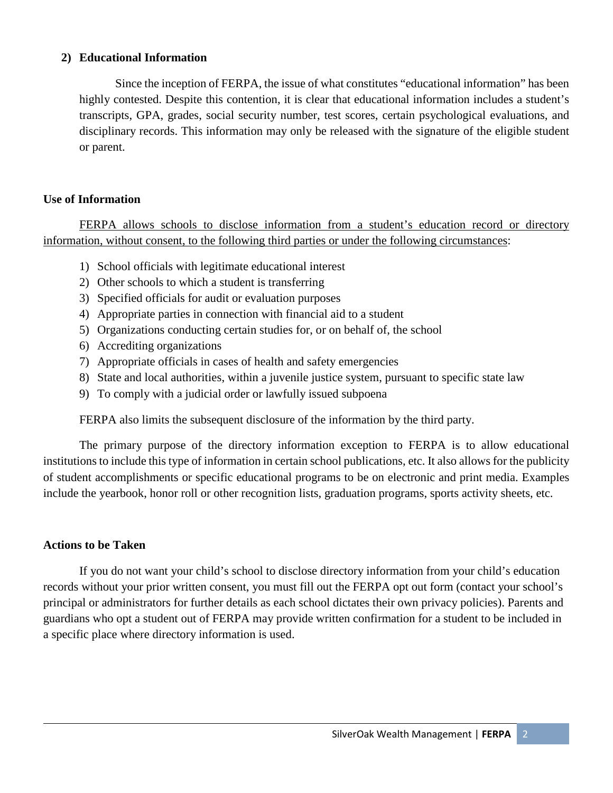### **2) Educational Information**

Since the inception of FERPA, the issue of what constitutes "educational information" has been highly contested. Despite this contention, it is clear that educational information includes a student's transcripts, GPA, grades, social security number, test scores, certain psychological evaluations, and disciplinary records. This information may only be released with the signature of the eligible student or parent.

## **Use of Information**

FERPA allows schools to disclose information from a student's education record or directory information, without consent, to the following third parties or under the following circumstances:

- 1) School officials with legitimate educational interest
- 2) Other schools to which a student is transferring
- 3) Specified officials for audit or evaluation purposes
- 4) Appropriate parties in connection with financial aid to a student
- 5) Organizations conducting certain studies for, or on behalf of, the school
- 6) Accrediting organizations
- 7) Appropriate officials in cases of health and safety emergencies
- 8) State and local authorities, within a juvenile justice system, pursuant to specific state law
- 9) To comply with a judicial order or lawfully issued subpoena

FERPA also limits the subsequent disclosure of the information by the third party.

The primary purpose of the directory information exception to FERPA is to allow educational institutions to include this type of information in certain school publications, etc. It also allows for the publicity of student accomplishments or specific educational programs to be on electronic and print media. Examples include the yearbook, honor roll or other recognition lists, graduation programs, sports activity sheets, etc.

# **Actions to be Taken**

If you do not want your child's school to disclose directory information from your child's education records without your prior written consent, you must fill out the FERPA opt out form (contact your school's principal or administrators for further details as each school dictates their own privacy policies). Parents and guardians who opt a student out of FERPA may provide written confirmation for a student to be included in a specific place where directory information is used.